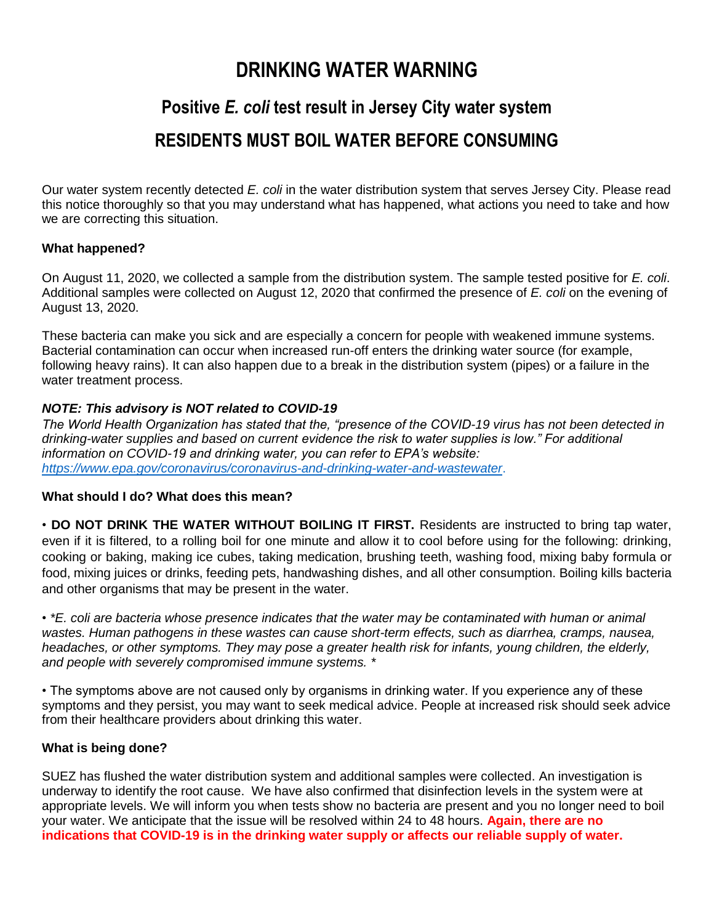## **DRINKING WATER WARNING**

# **Positive** *E. coli* **test result in Jersey City water system**

### **RESIDENTS MUST BOIL WATER BEFORE CONSUMING**

Our water system recently detected *E. coli* in the water distribution system that serves Jersey City. Please read this notice thoroughly so that you may understand what has happened, what actions you need to take and how we are correcting this situation.

#### **What happened?**

On August 11, 2020, we collected a sample from the distribution system. The sample tested positive for *E. coli*. Additional samples were collected on August 12, 2020 that confirmed the presence of *E. coli* on the evening of August 13, 2020.

These bacteria can make you sick and are especially a concern for people with weakened immune systems. Bacterial contamination can occur when increased run-off enters the drinking water source (for example, following heavy rains). It can also happen due to a break in the distribution system (pipes) or a failure in the water treatment process.

#### *NOTE: This advisory is NOT related to COVID-19*

*The World Health Organization has stated that the, "presence of the COVID-19 virus has not been detected in drinking-water supplies and based on current evidence the risk to water supplies is low." For additional information on COVID-19 and drinking water, you can refer to EPA's website: <https://www.epa.gov/coronavirus/coronavirus-and-drinking-water-and-wastewater>*.

#### **What should I do? What does this mean?**

• **DO NOT DRINK THE WATER WITHOUT BOILING IT FIRST.** Residents are instructed to bring tap water, even if it is filtered, to a rolling boil for one minute and allow it to cool before using for the following: drinking, cooking or baking, making ice cubes, taking medication, brushing teeth, washing food, mixing baby formula or food, mixing juices or drinks, feeding pets, handwashing dishes, and all other consumption. Boiling kills bacteria and other organisms that may be present in the water.

• *\*E. coli are bacteria whose presence indicates that the water may be contaminated with human or animal*  wastes. Human pathogens in these wastes can cause short-term effects, such as diarrhea, cramps, nausea, *headaches, or other symptoms. They may pose a greater health risk for infants, young children, the elderly, and people with severely compromised immune systems. \**

• The symptoms above are not caused only by organisms in drinking water. If you experience any of these symptoms and they persist, you may want to seek medical advice. People at increased risk should seek advice from their healthcare providers about drinking this water.

#### **What is being done?**

SUEZ has flushed the water distribution system and additional samples were collected. An investigation is underway to identify the root cause. We have also confirmed that disinfection levels in the system were at appropriate levels. We will inform you when tests show no bacteria are present and you no longer need to boil your water. We anticipate that the issue will be resolved within 24 to 48 hours. **Again, there are no indications that COVID-19 is in the drinking water supply or affects our reliable supply of water.**